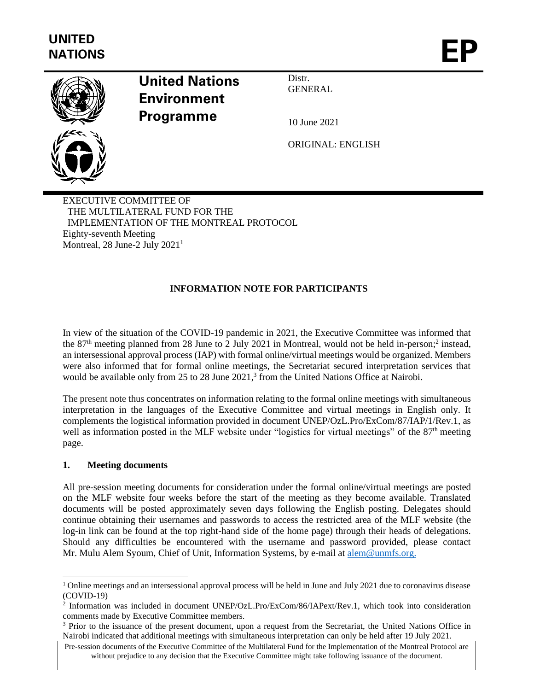

# **United Nations Environment Programme**

Distr. **GENERAL** 

10 June 2021

ORIGINAL: ENGLISH

EXECUTIVE COMMITTEE OF THE MULTILATERAL FUND FOR THE IMPLEMENTATION OF THE MONTREAL PROTOCOL Eighty-seventh Meeting Montreal, 28 June-2 July  $2021<sup>1</sup>$ 

# **INFORMATION NOTE FOR PARTICIPANTS**

In view of the situation of the COVID-19 pandemic in 2021, the Executive Committee was informed that the 87<sup>th</sup> meeting planned from 28 June to 2 July 2021 in Montreal, would not be held in-person;<sup>2</sup> instead, an intersessional approval process (IAP) with formal online/virtual meetings would be organized. Members were also informed that for formal online meetings, the Secretariat secured interpretation services that would be available only from 25 to 28 June 2021,<sup>3</sup> from the United Nations Office at Nairobi.

The present note thus concentrates on information relating to the formal online meetings with simultaneous interpretation in the languages of the Executive Committee and virtual meetings in English only. It complements the logistical information provided in document UNEP/OzL.Pro/ExCom/87/IAP/1/Rev.1, as well as information posted in the MLF website under "logistics for virtual meetings" of the 87<sup>th</sup> meeting page.

#### **1. Meeting documents**

All pre-session meeting documents for consideration under the formal online/virtual meetings are posted on the MLF website four weeks before the start of the meeting as they become available. Translated documents will be posted approximately seven days following the English posting. Delegates should continue obtaining their usernames and passwords to access the restricted area of the MLF website (the log-in link can be found at the top right-hand side of the home page) through their heads of delegations. Should any difficulties be encountered with the username and password provided, please contact Mr. Mulu Alem Syoum, Chief of Unit, Information Systems, by e-mail at [alem@unmfs.org.](mailto:alem@unmfs.org)

<sup>&</sup>lt;sup>1</sup> Online meetings and an intersessional approval process will be held in June and July 2021 due to coronavirus disease (COVID-19)

<sup>2</sup> Information was included in document UNEP/OzL.Pro/ExCom/86/IAPext/Rev.1, which took into consideration comments made by Executive Committee members.

<sup>&</sup>lt;sup>3</sup> Prior to the issuance of the present document, upon a request from the Secretariat, the United Nations Office in Nairobi indicated that additional meetings with simultaneous interpretation can only be held after 19 July 2021.

Pre-session documents of the Executive Committee of the Multilateral Fund for the Implementation of the Montreal Protocol are without prejudice to any decision that the Executive Committee might take following issuance of the document.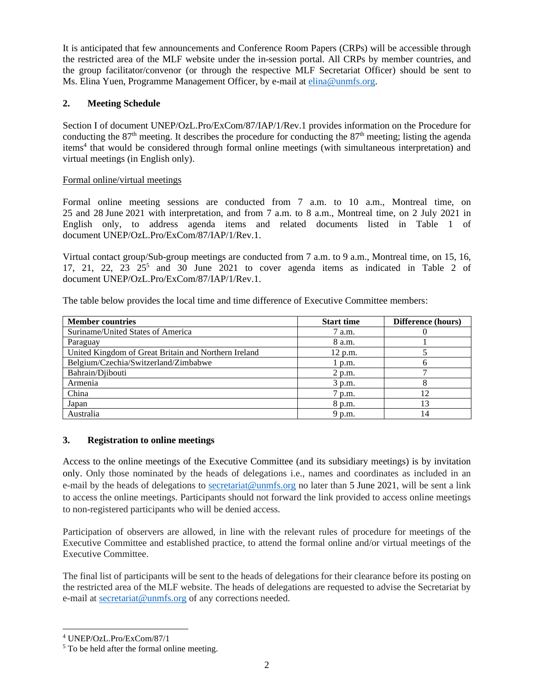It is anticipated that few announcements and Conference Room Papers (CRPs) will be accessible through the restricted area of the MLF website under the in-session portal. All CRPs by member countries, and the group facilitator/convenor (or through the respective MLF Secretariat Officer) should be sent to Ms. Elina Yuen, Programme Management Officer, by e-mail at **elina@unmfs.org**.

### **2. Meeting Schedule**

Section I of document UNEP/OzL.Pro/ExCom/87/IAP/1/Rev.1 provides information on the Procedure for conducting the  $87<sup>th</sup>$  meeting. It describes the procedure for conducting the  $87<sup>th</sup>$  meeting; listing the agenda items<sup>4</sup> that would be considered through formal online meetings (with simultaneous interpretation) and virtual meetings (in English only).

#### Formal online/virtual meetings

Formal online meeting sessions are conducted from 7 a.m. to 10 a.m., Montreal time, on 25 and 28 June 2021 with interpretation, and from 7 a.m. to 8 a.m., Montreal time, on 2 July 2021 in English only, to address agenda items and related documents listed in Table 1 of document UNEP/OzL.Pro/ExCom/87/IAP/1/Rev.1.

Virtual contact group/Sub-group meetings are conducted from 7 a.m. to 9 a.m., Montreal time, on 15, 16,  $17, 21, 22, 23, 25<sup>5</sup>$  and  $30$  June  $2021$  to cover agenda items as indicated in Table 2 of document UNEP/OzL.Pro/ExCom/87/IAP/1/Rev.1.

The table below provides the local time and time difference of Executive Committee members:

| <b>Member countries</b>                              | <b>Start time</b> | Difference (hours) |
|------------------------------------------------------|-------------------|--------------------|
| Suriname/United States of America                    | 7 a.m.            |                    |
| Paraguay                                             | 8 a.m.            |                    |
| United Kingdom of Great Britain and Northern Ireland | 12 p.m.           |                    |
| Belgium/Czechia/Switzerland/Zimbabwe                 | 1 p.m.            |                    |
| Bahrain/Djibouti                                     | 2 p.m.            | -                  |
| Armenia                                              | 3 p.m.            | 8                  |
| China                                                | 7 p.m.            | 12                 |
| Japan                                                | 8 p.m.            |                    |
| Australia                                            | 9 p.m.            | 14                 |

#### **3. Registration to online meetings**

Access to the online meetings of the Executive Committee (and its subsidiary meetings) is by invitation only. Only those nominated by the heads of delegations i.e., names and coordinates as included in an e-mail by the heads of delegations to [secretariat@unmfs.org](mailto:secretariat@unmfs.org) no later than 5 June 2021, will be sent a link to access the online meetings. Participants should not forward the link provided to access online meetings to non-registered participants who will be denied access.

Participation of observers are allowed, in line with the relevant rules of procedure for meetings of the Executive Committee and established practice, to attend the formal online and/or virtual meetings of the Executive Committee.

The final list of participants will be sent to the heads of delegations for their clearance before its posting on the restricted area of the MLF website. The heads of delegations are requested to advise the Secretariat by e-mail at [secretariat@unmfs.org](mailto:secretariat@unmfs.org) of any corrections needed.

<sup>4</sup> UNEP/OzL.Pro/ExCom/87/1

<sup>&</sup>lt;sup>5</sup> To be held after the formal online meeting.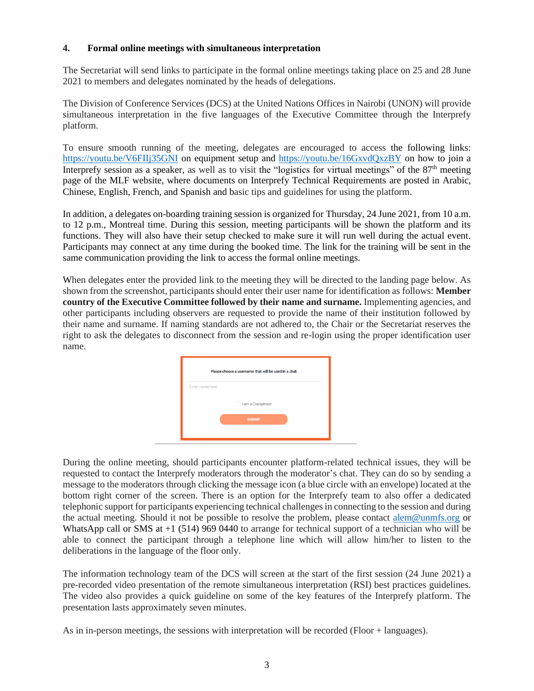#### **4. Formal online meetings with simultaneous interpretation**

The Secretariat will send links to participate in the formal online meetings taking place on 25 and 28 June 2021 to members and delegates nominated by the heads of delegations.

The Division of Conference Services (DCS) at the United Nations Offices in Nairobi (UNON) will provide simultaneous interpretation in the five languages of the Executive Committee through the Interprefy platform.

To ensure smooth running of the meeting, delegates are encouraged to access the following links: <https://youtu.be/V6FIIj35GNI> on equipment setup and<https://youtu.be/16GxvdQxzBY> on how to join a Interprefy session as a speaker, as well as to visit the "logistics for virtual meetings" of the 87<sup>th</sup> meeting page of the MLF website, where documents on Interprefy Technical Requirements are posted in Arabic, Chinese, English, French, and Spanish and basic tips and guidelines for using the platform.

In addition, a delegates on-boarding training session is organized for Thursday, 24 June 2021, from 10 a.m. to 12 p.m., Montreal time. During this session, meeting participants will be shown the platform and its functions. They will also have their setup checked to make sure it will run well during the actual event. Participants may connect at any time during the booked time. The link for the training will be sent in the same communication providing the link to access the formal online meetings.

When delegates enter the provided link to the meeting they will be directed to the landing page below. As shown from the screenshot, participants should enter their user name for identification as follows: **Member country of the Executive Committee followed by their name and surname.** Implementing agencies, and other participants including observers are requested to provide the name of their institution followed by their name and surname. If naming standards are not adhered to, the Chair or the Secretariat reserves the right to ask the delegates to disconnect from the session and re-login using the proper identification user name.



During the online meeting, should participants encounter platform-related technical issues, they will be requested to contact the Interprefy moderators through the moderator's chat. They can do so by sending a message to the moderators through clicking the message icon (a blue circle with an envelope) located at the bottom right corner of the screen. There is an option for the Interprefy team to also offer a dedicated telephonic support for participants experiencing technical challenges in connecting to the session and during the actual meeting. Should it not be possible to resolve the problem, please contact [alem@unmfs.org](mailto:alem@unmfs.org) or WhatsApp call or SMS at  $+1$  (514) 969 0440 to arrange for technical support of a technician who will be able to connect the participant through a telephone line which will allow him/her to listen to the deliberations in the language of the floor only.

The information technology team of the DCS will screen at the start of the first session (24 June 2021) a pre-recorded video presentation of the remote simultaneous interpretation (RSI) best practices guidelines. The video also provides a quick guideline on some of the key features of the Interprefy platform. The presentation lasts approximately seven minutes.

As in in-person meetings, the sessions with interpretation will be recorded (Floor + languages).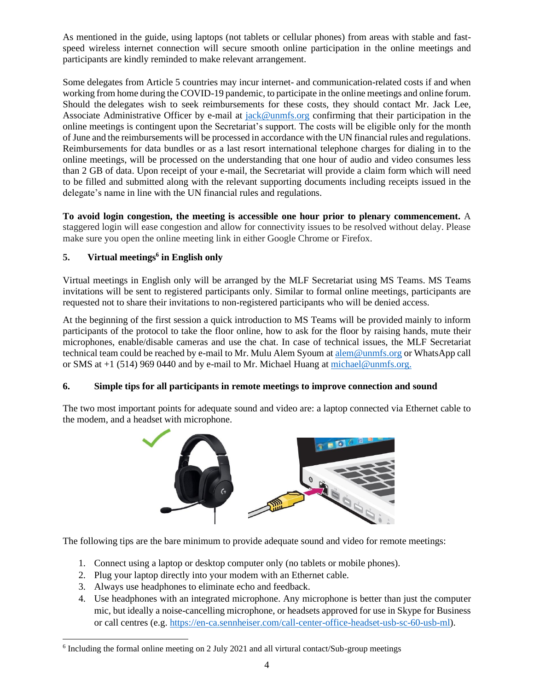As mentioned in the guide, using laptops (not tablets or cellular phones) from areas with stable and fastspeed wireless internet connection will secure smooth online participation in the online meetings and participants are kindly reminded to make relevant arrangement.

Some delegates from Article 5 countries may incur internet- and communication-related costs if and when working from home during the COVID-19 pandemic, to participate in the online meetings and online forum. Should the delegates wish to seek reimbursements for these costs, they should contact Mr. Jack Lee, Associate Administrative Officer by e-mail at [jack@unmfs.org](mailto:jack@unmfs.org) confirming that their participation in the online meetings is contingent upon the Secretariat's support. The costs will be eligible only for the month of June and the reimbursements will be processed in accordance with the UN financial rules and regulations. Reimbursements for data bundles or as a last resort international telephone charges for dialing in to the online meetings, will be processed on the understanding that one hour of audio and video consumes less than 2 GB of data. Upon receipt of your e-mail, the Secretariat will provide a claim form which will need to be filled and submitted along with the relevant supporting documents including receipts issued in the delegate's name in line with the UN financial rules and regulations.

**To avoid login congestion, the meeting is accessible one hour prior to plenary commencement.** A staggered login will ease congestion and allow for connectivity issues to be resolved without delay. Please make sure you open the online meeting link in either Google Chrome or Firefox.

# **5. Virtual meetings<sup>6</sup> in English only**

Virtual meetings in English only will be arranged by the MLF Secretariat using MS Teams. MS Teams invitations will be sent to registered participants only. Similar to formal online meetings, participants are requested not to share their invitations to non-registered participants who will be denied access.

At the beginning of the first session a quick introduction to MS Teams will be provided mainly to inform participants of the protocol to take the floor online, how to ask for the floor by raising hands, mute their microphones, enable/disable cameras and use the chat. In case of technical issues, the MLF Secretariat technical team could be reached by e-mail to Mr. Mulu Alem Syoum a[t alem@unmfs.org](mailto:alem@unmfs.org) or WhatsApp call or SMS at +1 (514) 969 0440 and by e-mail to Mr. Michael Huang at [michael@unmfs.org.](mailto:michael@unmfs.org)

## **6. Simple tips for all participants in remote meetings to improve connection and sound**

The two most important points for adequate sound and video are: a laptop connected via Ethernet cable to the modem, and a headset with microphone.



The following tips are the bare minimum to provide adequate sound and video for remote meetings:

- 1. Connect using a laptop or desktop computer only (no tablets or mobile phones).
- 2. Plug your laptop directly into your modem with an Ethernet cable.
- 3. Always use headphones to eliminate echo and feedback.
- 4. Use headphones with an integrated microphone. Any microphone is better than just the computer mic, but ideally a noise-cancelling microphone, or headsets approved for use in Skype for Business or call centres (e.g[. https://en-ca.sennheiser.com/call-center-office-headset-usb-sc-60-usb-ml\)](https://en-ca.sennheiser.com/call-center-office-headset-usb-sc-60-usb-ml).

<sup>&</sup>lt;sup>6</sup> Including the formal online meeting on 2 July 2021 and all virtural contact/Sub-group meetings